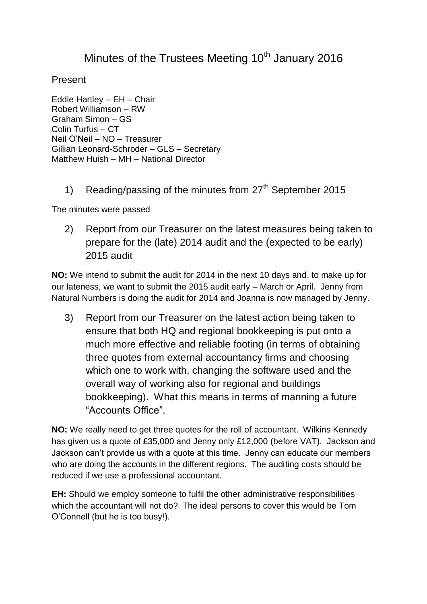## Minutes of the Trustees Meeting  $10<sup>th</sup>$  January 2016

Present

Eddie Hartley – EH – Chair Robert Williamson – RW Graham Simon – GS Colin Turfus – CT Neil O'Neil – NO – Treasurer Gillian Leonard-Schroder – GLS – Secretary Matthew Huish – MH – National Director

1) Reading/passing of the minutes from  $27<sup>th</sup>$  September 2015

The minutes were passed

2) Report from our Treasurer on the latest measures being taken to prepare for the (late) 2014 audit and the (expected to be early) 2015 audit

**NO:** We intend to submit the audit for 2014 in the next 10 days and, to make up for our lateness, we want to submit the 2015 audit early – March or April. Jenny from Natural Numbers is doing the audit for 2014 and Joanna is now managed by Jenny.

3) Report from our Treasurer on the latest action being taken to ensure that both HQ and regional bookkeeping is put onto a much more effective and reliable footing (in terms of obtaining three quotes from external accountancy firms and choosing which one to work with, changing the software used and the overall way of working also for regional and buildings bookkeeping). What this means in terms of manning a future "Accounts Office".

**NO:** We really need to get three quotes for the roll of accountant. Wilkins Kennedy has given us a quote of £35,000 and Jenny only £12,000 (before VAT). Jackson and Jackson can't provide us with a quote at this time. Jenny can educate our members who are doing the accounts in the different regions. The auditing costs should be reduced if we use a professional accountant.

**EH:** Should we employ someone to fulfil the other administrative responsibilities which the accountant will not do? The ideal persons to cover this would be Tom O'Connell (but he is too busy!).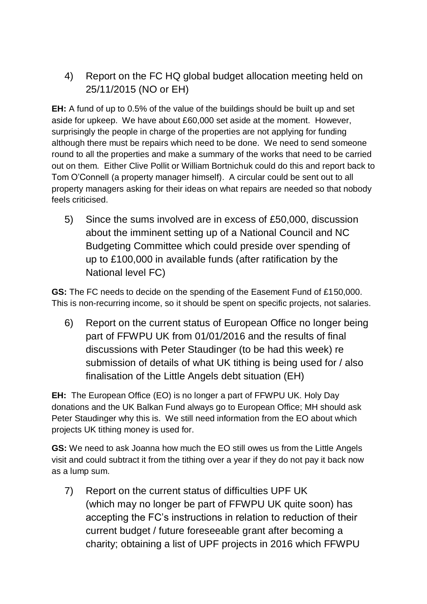4) Report on the FC HQ global budget allocation meeting held on 25/11/2015 (NO or EH)

**EH:** A fund of up to 0.5% of the value of the buildings should be built up and set aside for upkeep. We have about £60,000 set aside at the moment. However, surprisingly the people in charge of the properties are not applying for funding although there must be repairs which need to be done. We need to send someone round to all the properties and make a summary of the works that need to be carried out on them. Either Clive Pollit or William Bortnichuk could do this and report back to Tom O'Connell (a property manager himself). A circular could be sent out to all property managers asking for their ideas on what repairs are needed so that nobody feels criticised.

5) Since the sums involved are in excess of £50,000, discussion about the imminent setting up of a National Council and NC Budgeting Committee which could preside over spending of up to £100,000 in available funds (after ratification by the National level FC)

**GS:** The FC needs to decide on the spending of the Easement Fund of £150,000. This is non-recurring income, so it should be spent on specific projects, not salaries.

6) Report on the current status of European Office no longer being part of FFWPU UK from 01/01/2016 and the results of final discussions with Peter Staudinger (to be had this week) re submission of details of what UK tithing is being used for / also finalisation of the Little Angels debt situation (EH)

**EH:** The European Office (EO) is no longer a part of FFWPU UK. Holy Day donations and the UK Balkan Fund always go to European Office; MH should ask Peter Staudinger why this is. We still need information from the EO about which projects UK tithing money is used for.

**GS:** We need to ask Joanna how much the EO still owes us from the Little Angels visit and could subtract it from the tithing over a year if they do not pay it back now as a lump sum.

7) Report on the current status of difficulties UPF UK (which may no longer be part of FFWPU UK quite soon) has accepting the FC's instructions in relation to reduction of their current budget / future foreseeable grant after becoming a charity; obtaining a list of UPF projects in 2016 which FFWPU